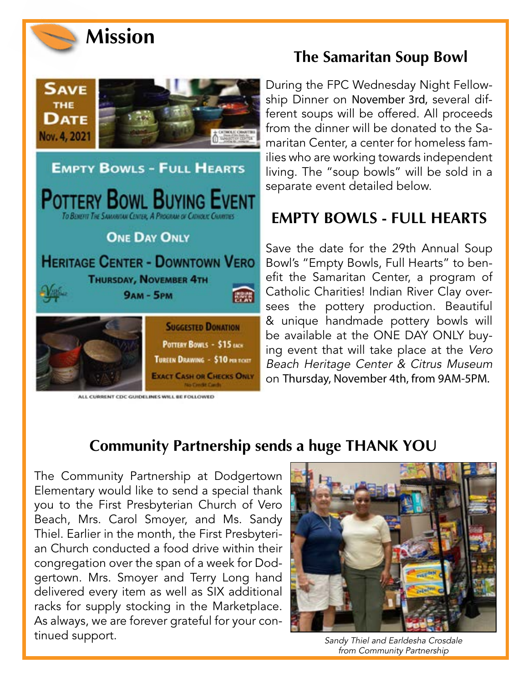



#### ALL CURRENT CDC GUIDELINES WILL BE FOLLOWED

**EXACT CASH OR CHECKS ONLY** 

## **The Samaritan Soup Bowl**

During the FPC Wednesday Night Fellowship Dinner on November 3rd, several different soups will be offered. All proceeds from the dinner will be donated to the Samaritan Center, a center for homeless families who are working towards independent living. The "soup bowls" will be sold in a separate event detailed below.

# **EMPTY BOWLS - FULL HEARTS**

Save the date for the 29th Annual Soup Bowl's "Empty Bowls, Full Hearts" to benefit the Samaritan Center, a program of Catholic Charities! Indian River Clay oversees the pottery production. Beautiful & unique handmade pottery bowls will be available at the ONE DAY ONLY buying event that will take place at the Vero Beach Heritage Center & Citrus Museum on Thursday, November 4th, from 9AM-5PM.

### **Community Partnership sends a huge THANK YOU**

The Community Partnership at Dodgertown Elementary would like to send a special thank you to the First Presbyterian Church of Vero Beach, Mrs. Carol Smoyer, and Ms. Sandy Thiel. Earlier in the month, the First Presbyterian Church conducted a food drive within their congregation over the span of a week for Dodgertown. Mrs. Smoyer and Terry Long hand delivered every item as well as SIX additional racks for supply stocking in the Marketplace. As always, we are forever grateful for your continued support. The support of the sandy Thiel and Earldesha Crosdale



from Community Partnership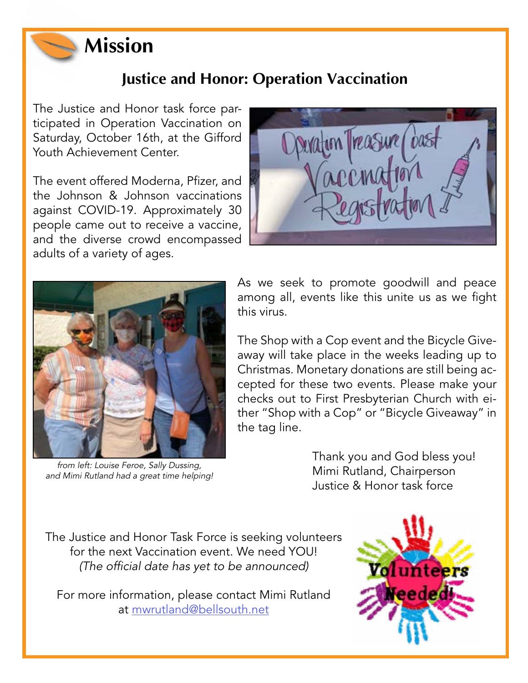

## **Justice and Honor: Operation Vaccination**

The Justice and Honor task force participated in Operation Vaccination on Saturday, October 16th, at the Gifford Youth Achievement Center.

The event offered Moderna, Pfizer, and the Johnson & Johnson vaccinations against COVID-19. Approximately 30 people came out to receive a vaccine, and the diverse crowd encompassed adults of a variety of ages.





from left: Louise Feroe, Sally Dussing, and Mimi Rutland had a great time helping!

As we seek to promote goodwill and peace among all, events like this unite us as we fight this virus.

The Shop with a Cop event and the Bicycle Giveaway will take place in the weeks leading up to Christmas. Monetary donations are still being accepted for these two events. Please make your checks out to First Presbyterian Church with either "Shop with a Cop" or "Bicycle Giveaway" in the tag line.

> Thank you and God bless you! Mimi Rutland, Chairperson Justice & Honor task force

The Justice and Honor Task Force is seeking volunteers for the next Vaccination event. We need YOU! (The official date has yet to be announced)

For more information, please contact Mimi Rutland at [mwrutland@bellsouth.net](mailto:mwrutland%40bellsouth.net?subject=Operation%20Vaccination)